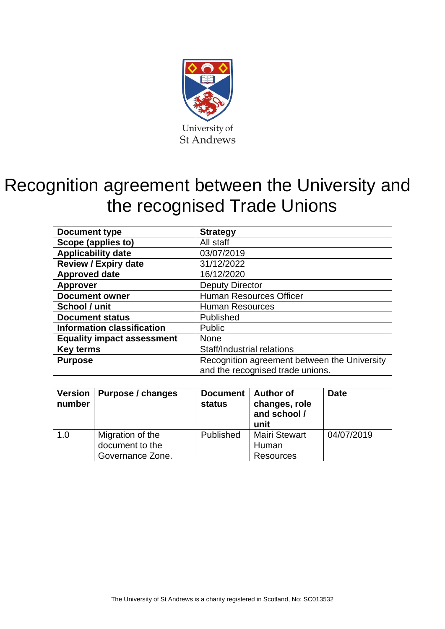

# Recognition agreement between the University and the recognised Trade Unions

| <b>Document type</b>              | <b>Strategy</b>                              |  |
|-----------------------------------|----------------------------------------------|--|
| Scope (applies to)                | All staff                                    |  |
| <b>Applicability date</b>         | 03/07/2019                                   |  |
| <b>Review / Expiry date</b>       | 31/12/2022                                   |  |
| <b>Approved date</b>              | 16/12/2020                                   |  |
| <b>Approver</b>                   | <b>Deputy Director</b>                       |  |
| <b>Document owner</b>             | <b>Human Resources Officer</b>               |  |
| School / unit                     | <b>Human Resources</b>                       |  |
| <b>Document status</b>            | Published                                    |  |
| <b>Information classification</b> | Public                                       |  |
| <b>Equality impact assessment</b> | <b>None</b>                                  |  |
| <b>Key terms</b>                  | <b>Staff/Industrial relations</b>            |  |
| <b>Purpose</b>                    | Recognition agreement between the University |  |
|                                   | and the recognised trade unions.             |  |

| number | Version   Purpose / changes                             | Document  <br>status | Author of<br>changes, role<br>and school /<br>unit | <b>Date</b> |
|--------|---------------------------------------------------------|----------------------|----------------------------------------------------|-------------|
| 1.0    | Migration of the<br>document to the<br>Governance Zone. | Published            | <b>Mairi Stewart</b><br>Human<br><b>Resources</b>  | 04/07/2019  |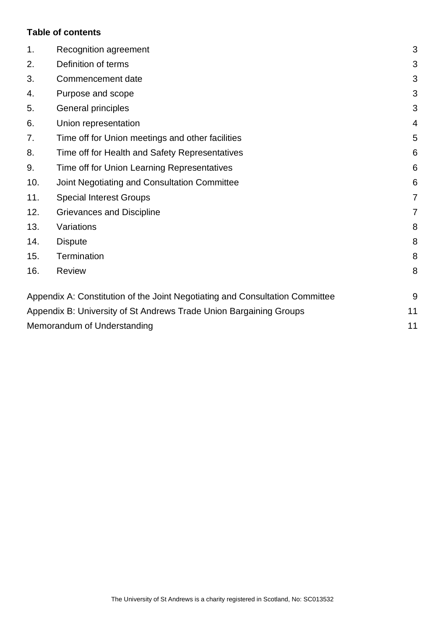## **Table of contents**

| 1.  | Recognition agreement                                                        | 3  |
|-----|------------------------------------------------------------------------------|----|
| 2.  | Definition of terms                                                          | 3  |
| 3.  | Commencement date                                                            | 3  |
| 4.  | Purpose and scope                                                            | 3  |
| 5.  | General principles                                                           | 3  |
| 6.  | Union representation                                                         | 4  |
| 7.  | Time off for Union meetings and other facilities                             | 5  |
| 8.  | Time off for Health and Safety Representatives                               | 6  |
| 9.  | Time off for Union Learning Representatives                                  | 6  |
| 10. | Joint Negotiating and Consultation Committee                                 | 6  |
| 11. | <b>Special Interest Groups</b>                                               | 7  |
| 12. | Grievances and Discipline                                                    | 7  |
| 13. | Variations                                                                   | 8  |
| 14. | <b>Dispute</b>                                                               | 8  |
| 15. | Termination                                                                  | 8  |
| 16. | <b>Review</b>                                                                | 8  |
|     | Appendix A: Constitution of the Joint Negotiating and Consultation Committee | 9  |
|     | Appendix B: University of St Andrews Trade Union Bargaining Groups           | 11 |
|     | Memorandum of Understanding                                                  | 11 |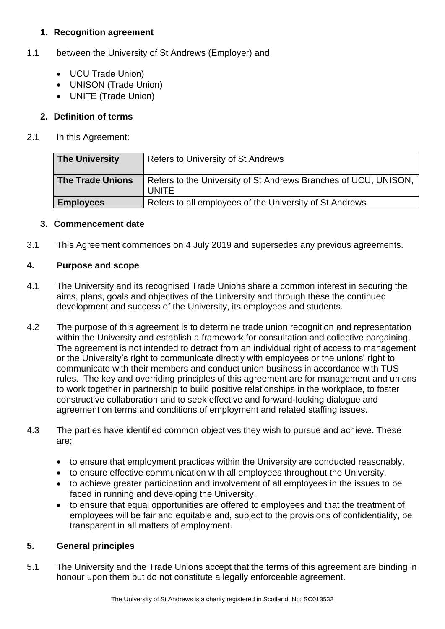# <span id="page-2-0"></span>**1. Recognition agreement**

# 1.1 between the University of St Andrews (Employer) and

- UCU Trade Union)
- UNISON (Trade Union)
- UNITE (Trade Union)

# <span id="page-2-1"></span>**2. Definition of terms**

2.1 In this Agreement:

| <b>The University</b>   | <b>Refers to University of St Andrews</b>                                       |
|-------------------------|---------------------------------------------------------------------------------|
| <b>The Trade Unions</b> | Refers to the University of St Andrews Branches of UCU, UNISON,<br><b>UNITE</b> |
| <b>Employees</b>        | Refers to all employees of the University of St Andrews                         |

## <span id="page-2-2"></span>**3. Commencement date**

3.1 This Agreement commences on 4 July 2019 and supersedes any previous agreements.

## <span id="page-2-3"></span>**4. Purpose and scope**

- 4.1 The University and its recognised Trade Unions share a common interest in securing the aims, plans, goals and objectives of the University and through these the continued development and success of the University, its employees and students.
- 4.2 The purpose of this agreement is to determine trade union recognition and representation within the University and establish a framework for consultation and collective bargaining. The agreement is not intended to detract from an individual right of access to management or the University's right to communicate directly with employees or the unions' right to communicate with their members and conduct union business in accordance with TUS rules. The key and overriding principles of this agreement are for management and unions to work together in partnership to build positive relationships in the workplace, to foster constructive collaboration and to seek effective and forward-looking dialogue and agreement on terms and conditions of employment and related staffing issues*.*
- 4.3 The parties have identified common objectives they wish to pursue and achieve. These are:
	- to ensure that employment practices within the University are conducted reasonably.
	- to ensure effective communication with all employees throughout the University.
	- to achieve greater participation and involvement of all employees in the issues to be faced in running and developing the University.
	- to ensure that equal opportunities are offered to employees and that the treatment of employees will be fair and equitable and, subject to the provisions of confidentiality, be transparent in all matters of employment.

## <span id="page-2-4"></span>**5. General principles**

5.1 The University and the Trade Unions accept that the terms of this agreement are binding in honour upon them but do not constitute a legally enforceable agreement.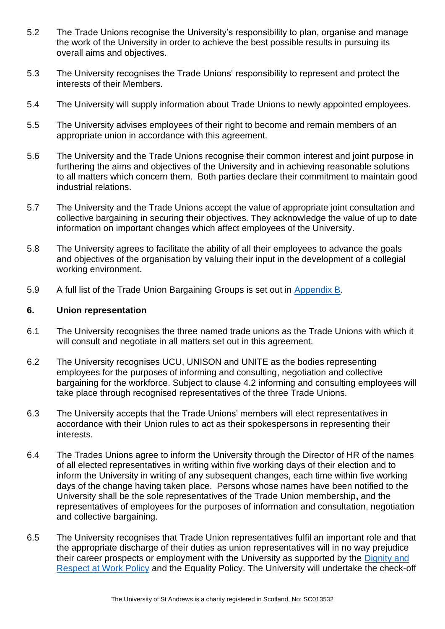- 5.2 The Trade Unions recognise the University's responsibility to plan, organise and manage the work of the University in order to achieve the best possible results in pursuing its overall aims and objectives.
- 5.3 The University recognises the Trade Unions' responsibility to represent and protect the interests of their Members.
- 5.4 The University will supply information about Trade Unions to newly appointed employees.
- 5.5 The University advises employees of their right to become and remain members of an appropriate union in accordance with this agreement.
- 5.6 The University and the Trade Unions recognise their common interest and joint purpose in furthering the aims and objectives of the University and in achieving reasonable solutions to all matters which concern them. Both parties declare their commitment to maintain good industrial relations.
- 5.7 The University and the Trade Unions accept the value of appropriate joint consultation and collective bargaining in securing their objectives. They acknowledge the value of up to date information on important changes which affect employees of the University.
- 5.8 The University agrees to facilitate the ability of all their employees to advance the goals and objectives of the organisation by valuing their input in the development of a collegial working environment.
- 5.9 A full list of the Trade Union Bargaining Groups is set out in [Appendix B.](#page-10-0)

#### <span id="page-3-0"></span>**6. Union representation**

- 6.1 The University recognises the three named trade unions as the Trade Unions with which it will consult and negotiate in all matters set out in this agreement.
- 6.2 The University recognises UCU, UNISON and UNITE as the bodies representing employees for the purposes of informing and consulting, negotiation and collective bargaining for the workforce. Subject to clause 4.2 informing and consulting employees will take place through recognised representatives of the three Trade Unions.
- 6.3 The University accepts that the Trade Unions' members will elect representatives in accordance with their Union rules to act as their spokespersons in representing their interests.
- 6.4 The Trades Unions agree to inform the University through the Director of HR of the names of all elected representatives in writing within five working days of their election and to inform the University in writing of any subsequent changes, each time within five working days of the change having taken place. Persons whose names have been notified to the University shall be the sole representatives of the Trade Union membership**,** and the representatives of employees for the purposes of information and consultation, negotiation and collective bargaining.
- 6.5 The University recognises that Trade Union representatives fulfil an important role and that the appropriate discharge of their duties as union representatives will in no way prejudice their career prospects or employment with the University as supported by the [Dignity and](https://www.st-andrews.ac.uk/media/human-resources/new-policy-section-documents/dignityandrespectatwork/Dignity%20and%20Respect%20at%20Work%20Policy%20-%20April%202018.pdf)  [Respect at Work Policy](https://www.st-andrews.ac.uk/media/human-resources/new-policy-section-documents/dignityandrespectatwork/Dignity%20and%20Respect%20at%20Work%20Policy%20-%20April%202018.pdf) and the Equality Policy. The University will undertake the check-off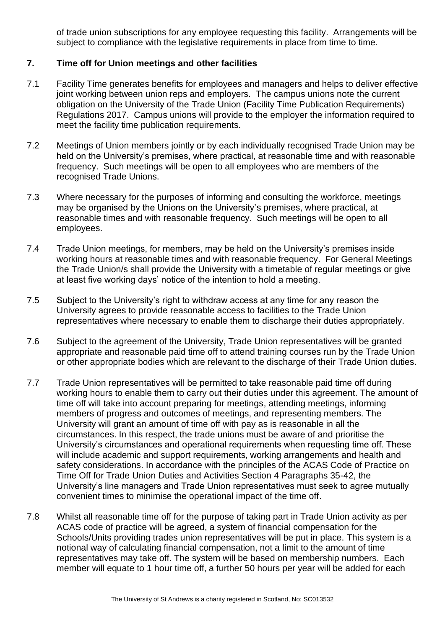of trade union subscriptions for any employee requesting this facility. Arrangements will be subject to compliance with the legislative requirements in place from time to time.

## <span id="page-4-0"></span>**7. Time off for Union meetings and other facilities**

- 7.1 Facility Time generates benefits for employees and managers and helps to deliver effective joint working between union reps and employers. The campus unions note the current obligation on the University of the Trade Union (Facility Time Publication Requirements) Regulations 2017. Campus unions will provide to the employer the information required to meet the facility time publication requirements.
- 7.2 Meetings of Union members jointly or by each individually recognised Trade Union may be held on the University's premises, where practical, at reasonable time and with reasonable frequency. Such meetings will be open to all employees who are members of the recognised Trade Unions.
- 7.3 Where necessary for the purposes of informing and consulting the workforce, meetings may be organised by the Unions on the University's premises, where practical, at reasonable times and with reasonable frequency. Such meetings will be open to all employees.
- 7.4 Trade Union meetings, for members, may be held on the University's premises inside working hours at reasonable times and with reasonable frequency. For General Meetings the Trade Union/s shall provide the University with a timetable of regular meetings or give at least five working days' notice of the intention to hold a meeting.
- 7.5 Subject to the University's right to withdraw access at any time for any reason the University agrees to provide reasonable access to facilities to the Trade Union representatives where necessary to enable them to discharge their duties appropriately.
- 7.6 Subject to the agreement of the University, Trade Union representatives will be granted appropriate and reasonable paid time off to attend training courses run by the Trade Union or other appropriate bodies which are relevant to the discharge of their Trade Union duties.
- 7.7 Trade Union representatives will be permitted to take reasonable paid time off during working hours to enable them to carry out their duties under this agreement. The amount of time off will take into account preparing for meetings, attending meetings, informing members of progress and outcomes of meetings, and representing members. The University will grant an amount of time off with pay as is reasonable in all the circumstances. In this respect, the trade unions must be aware of and prioritise the University's circumstances and operational requirements when requesting time off. These will include academic and support requirements, working arrangements and health and safety considerations. In accordance with the principles of the ACAS Code of Practice on Time Off for Trade Union Duties and Activities Section 4 Paragraphs 35-42, the University's line managers and Trade Union representatives must seek to agree mutually convenient times to minimise the operational impact of the time off.
- 7.8 Whilst all reasonable time off for the purpose of taking part in Trade Union activity as per ACAS code of practice will be agreed, a system of financial compensation for the Schools/Units providing trades union representatives will be put in place. This system is a notional way of calculating financial compensation, not a limit to the amount of time representatives may take off. The system will be based on membership numbers. Each member will equate to 1 hour time off, a further 50 hours per year will be added for each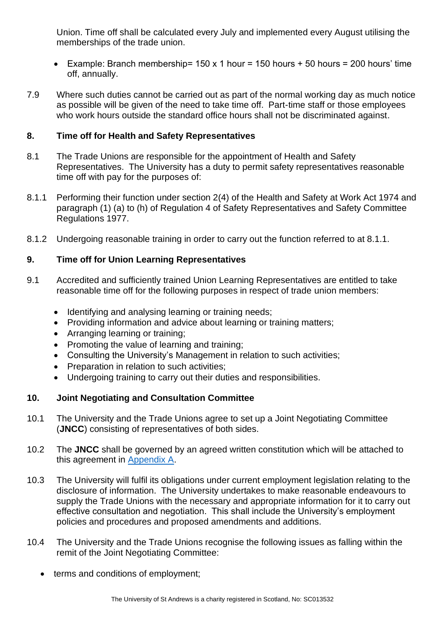Union. Time off shall be calculated every July and implemented every August utilising the memberships of the trade union.

- Example: Branch membership= 150 x 1 hour = 150 hours + 50 hours = 200 hours' time off, annually.
- 7.9 Where such duties cannot be carried out as part of the normal working day as much notice as possible will be given of the need to take time off. Part-time staff or those employees who work hours outside the standard office hours shall not be discriminated against.

## <span id="page-5-0"></span>**8. Time off for Health and Safety Representatives**

- 8.1 The Trade Unions are responsible for the appointment of Health and Safety Representatives. The University has a duty to permit safety representatives reasonable time off with pay for the purposes of:
- 8.1.1 Performing their function under section 2(4) of the Health and Safety at Work Act 1974 and paragraph (1) (a) to (h) of Regulation 4 of Safety Representatives and Safety Committee Regulations 1977.
- 8.1.2 Undergoing reasonable training in order to carry out the function referred to at 8.1.1.

## <span id="page-5-1"></span>**9. Time off for Union Learning Representatives**

- 9.1 Accredited and sufficiently trained Union Learning Representatives are entitled to take reasonable time off for the following purposes in respect of trade union members:
	- Identifying and analysing learning or training needs;
	- Providing information and advice about learning or training matters;
	- Arranging learning or training;
	- Promoting the value of learning and training;
	- Consulting the University's Management in relation to such activities;
	- Preparation in relation to such activities;
	- Undergoing training to carry out their duties and responsibilities.

## <span id="page-5-2"></span>**10. Joint Negotiating and Consultation Committee**

- 10.1 The University and the Trade Unions agree to set up a Joint Negotiating Committee (**JNCC**) consisting of representatives of both sides.
- 10.2 The **JNCC** shall be governed by an agreed written constitution which will be attached to this agreement in [Appendix A.](#page-8-0)
- 10.3 The University will fulfil its obligations under current employment legislation relating to the disclosure of information. The University undertakes to make reasonable endeavours to supply the Trade Unions with the necessary and appropriate information for it to carry out effective consultation and negotiation. This shall include the University's employment policies and procedures and proposed amendments and additions.
- 10.4 The University and the Trade Unions recognise the following issues as falling within the remit of the Joint Negotiating Committee:
	- terms and conditions of employment;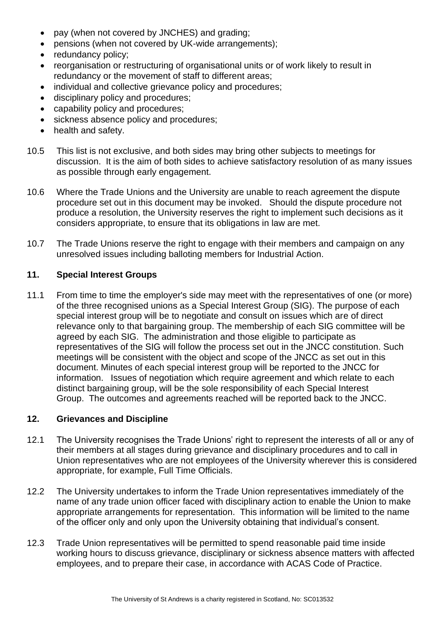- pay (when not covered by JNCHES) and grading;
- pensions (when not covered by UK-wide arrangements);
- redundancy policy;
- reorganisation or restructuring of organisational units or of work likely to result in redundancy or the movement of staff to different areas;
- individual and collective grievance policy and procedures:
- disciplinary policy and procedures;
- capability policy and procedures;
- sickness absence policy and procedures;
- health and safety.
- 10.5 This list is not exclusive, and both sides may bring other subjects to meetings for discussion. It is the aim of both sides to achieve satisfactory resolution of as many issues as possible through early engagement.
- 10.6 Where the Trade Unions and the University are unable to reach agreement the dispute procedure set out in this document may be invoked. Should the dispute procedure not produce a resolution, the University reserves the right to implement such decisions as it considers appropriate, to ensure that its obligations in law are met.
- 10.7 The Trade Unions reserve the right to engage with their members and campaign on any unresolved issues including balloting members for Industrial Action.

#### <span id="page-6-0"></span>**11. Special Interest Groups**

11.1 From time to time the employer's side may meet with the representatives of one (or more) of the three recognised unions as a Special Interest Group (SIG). The purpose of each special interest group will be to negotiate and consult on issues which are of direct relevance only to that bargaining group. The membership of each SIG committee will be agreed by each SIG. The administration and those eligible to participate as representatives of the SIG will follow the process set out in the JNCC constitution. Such meetings will be consistent with the object and scope of the JNCC as set out in this document. Minutes of each special interest group will be reported to the JNCC for information. Issues of negotiation which require agreement and which relate to each distinct bargaining group, will be the sole responsibility of each Special Interest Group. The outcomes and agreements reached will be reported back to the JNCC.

#### <span id="page-6-1"></span>**12. Grievances and Discipline**

- 12.1 The University recognises the Trade Unions' right to represent the interests of all or any of their members at all stages during grievance and disciplinary procedures and to call in Union representatives who are not employees of the University wherever this is considered appropriate, for example, Full Time Officials.
- 12.2 The University undertakes to inform the Trade Union representatives immediately of the name of any trade union officer faced with disciplinary action to enable the Union to make appropriate arrangements for representation. This information will be limited to the name of the officer only and only upon the University obtaining that individual's consent.
- 12.3 Trade Union representatives will be permitted to spend reasonable paid time inside working hours to discuss grievance, disciplinary or sickness absence matters with affected employees, and to prepare their case, in accordance with ACAS Code of Practice.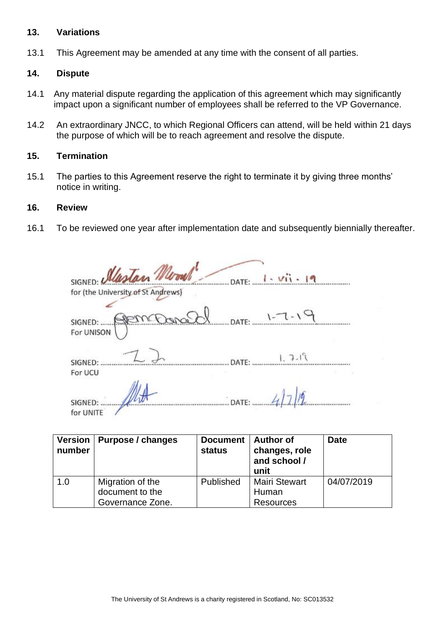#### <span id="page-7-0"></span>**13. Variations**

13.1 This Agreement may be amended at any time with the consent of all parties.

#### <span id="page-7-1"></span>**14. Dispute**

- 14.1 Any material dispute regarding the application of this agreement which may significantly impact upon a significant number of employees shall be referred to the VP Governance.
- 14.2 An extraordinary JNCC, to which Regional Officers can attend, will be held within 21 days the purpose of which will be to reach agreement and resolve the dispute.

#### <span id="page-7-2"></span>**15. Termination**

15.1 The parties to this Agreement reserve the right to terminate it by giving three months' notice in writing.

#### <span id="page-7-3"></span>**16. Review**

16.1 To be reviewed one year after implementation date and subsequently biennially thereafter.

| SIGNED: Alastan Moonle                                                  |
|-------------------------------------------------------------------------|
| for (the University of St Andrews)                                      |
| $-1$ - $-1$ - $-1$ - $-1$ - $-1$ - $-1$ - $-1$<br>SIGNED:<br>For UNISON |
| $1.7 -$<br>SIGNED:<br>For UCU                                           |
| SIGNED:<br>for UNITE                                                    |

| number | Version   Purpose / changes                             | <b>Document</b><br>status | ∣ Author of<br>changes, role<br>and school /<br>unit | <b>Date</b> |
|--------|---------------------------------------------------------|---------------------------|------------------------------------------------------|-------------|
| 1.0    | Migration of the<br>document to the<br>Governance Zone. | Published                 | <b>Mairi Stewart</b><br>Human<br><b>Resources</b>    | 04/07/2019  |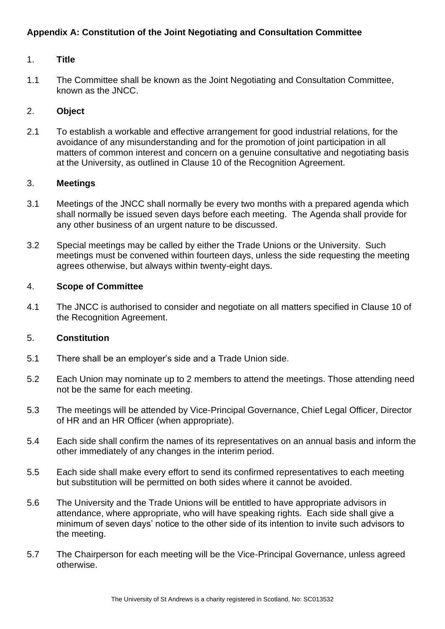# <span id="page-8-0"></span>**Appendix A: Constitution of the Joint Negotiating and Consultation Committee**

#### 1. **Title**

1.1 The Committee shall be known as the Joint Negotiating and Consultation Committee, known as the JNCC.

#### 2. **Object**

2.1 To establish a workable and effective arrangement for good industrial relations, for the avoidance of any misunderstanding and for the promotion of joint participation in all matters of common interest and concern on a genuine consultative and negotiating basis at the University, as outlined in Clause 10 of the Recognition Agreement.

#### 3. **Meetings**

- 3.1 Meetings of the JNCC shall normally be every two months with a prepared agenda which shall normally be issued seven days before each meeting. The Agenda shall provide for any other business of an urgent nature to be discussed.
- 3.2 Special meetings may be called by either the Trade Unions or the University. Such meetings must be convened within fourteen days, unless the side requesting the meeting agrees otherwise, but always within twenty-eight days.

#### 4. **Scope of Committee**

4.1 The JNCC is authorised to consider and negotiate on all matters specified in Clause 10 of the Recognition Agreement.

#### 5. **Constitution**

- 5.1 There shall be an employer's side and a Trade Union side.
- 5.2 Each Union may nominate up to 2 members to attend the meetings. Those attending need not be the same for each meeting.
- 5.3 The meetings will be attended by Vice-Principal Governance, Chief Legal Officer, Director of HR and an HR Officer (when appropriate).
- 5.4 Each side shall confirm the names of its representatives on an annual basis and inform the other immediately of any changes in the interim period.
- 5.5 Each side shall make every effort to send its confirmed representatives to each meeting but substitution will be permitted on both sides where it cannot be avoided.
- 5.6 The University and the Trade Unions will be entitled to have appropriate advisors in attendance, where appropriate, who will have speaking rights. Each side shall give a minimum of seven days' notice to the other side of its intention to invite such advisors to the meeting.
- 5.7 The Chairperson for each meeting will be the Vice-Principal Governance, unless agreed otherwise.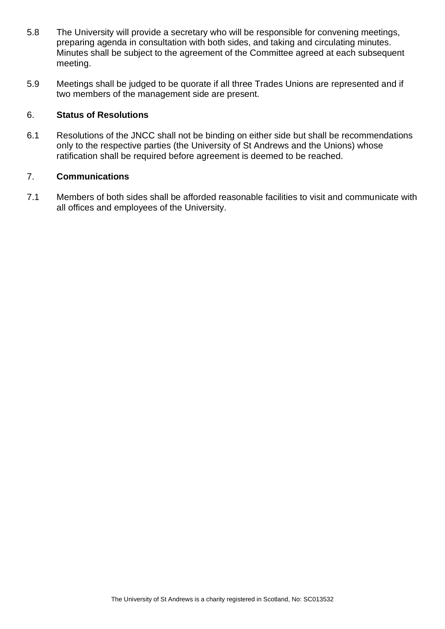- 5.8 The University will provide a secretary who will be responsible for convening meetings, preparing agenda in consultation with both sides, and taking and circulating minutes. Minutes shall be subject to the agreement of the Committee agreed at each subsequent meeting.
- 5.9 Meetings shall be judged to be quorate if all three Trades Unions are represented and if two members of the management side are present.

# 6. **Status of Resolutions**

6.1 Resolutions of the JNCC shall not be binding on either side but shall be recommendations only to the respective parties (the University of St Andrews and the Unions) whose ratification shall be required before agreement is deemed to be reached.

#### 7. **Communications**

7.1 Members of both sides shall be afforded reasonable facilities to visit and communicate with all offices and employees of the University.